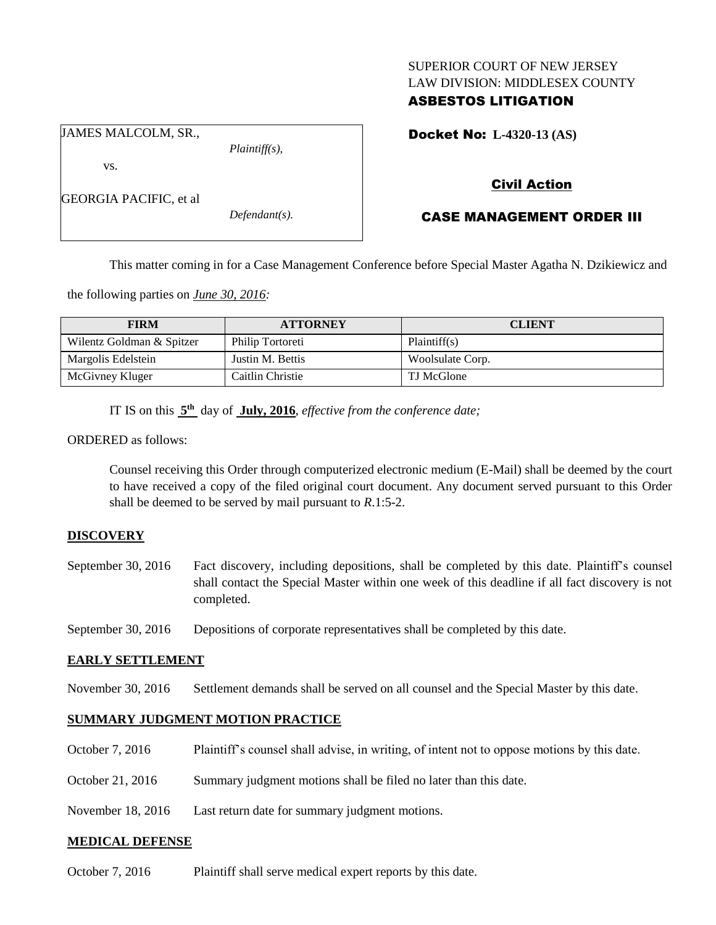## SUPERIOR COURT OF NEW JERSEY LAW DIVISION: MIDDLESEX COUNTY ASBESTOS LITIGATION

JAMES MALCOLM, SR.,

vs.

*Defendant(s).*

*Plaintiff(s),*

Docket No: **L-4320-13 (AS)** 

## Civil Action

# CASE MANAGEMENT ORDER III

This matter coming in for a Case Management Conference before Special Master Agatha N. Dzikiewicz and

the following parties on *June 30, 2016:*

| <b>FIRM</b>               | <b>ATTORNEY</b>  | <b>CLIENT</b>    |
|---------------------------|------------------|------------------|
| Wilentz Goldman & Spitzer | Philip Tortoreti | Plaintiff(s)     |
| Margolis Edelstein        | Justin M. Bettis | Woolsulate Corp. |
| McGivney Kluger           | Caitlin Christie | TJ McGlone       |

IT IS on this  $5<sup>th</sup>$  day of July, 2016, *effective from the conference date*;

ORDERED as follows:

Counsel receiving this Order through computerized electronic medium (E-Mail) shall be deemed by the court to have received a copy of the filed original court document. Any document served pursuant to this Order shall be deemed to be served by mail pursuant to *R*.1:5-2.

## **DISCOVERY**

September 30, 2016 Fact discovery, including depositions, shall be completed by this date. Plaintiff's counsel shall contact the Special Master within one week of this deadline if all fact discovery is not completed.

September 30, 2016 Depositions of corporate representatives shall be completed by this date.

## **EARLY SETTLEMENT**

November 30, 2016 Settlement demands shall be served on all counsel and the Special Master by this date.

## **SUMMARY JUDGMENT MOTION PRACTICE**

- October 7, 2016 Plaintiff's counsel shall advise, in writing, of intent not to oppose motions by this date.
- October 21, 2016 Summary judgment motions shall be filed no later than this date.

November 18, 2016 Last return date for summary judgment motions.

## **MEDICAL DEFENSE**

October 7, 2016 Plaintiff shall serve medical expert reports by this date.